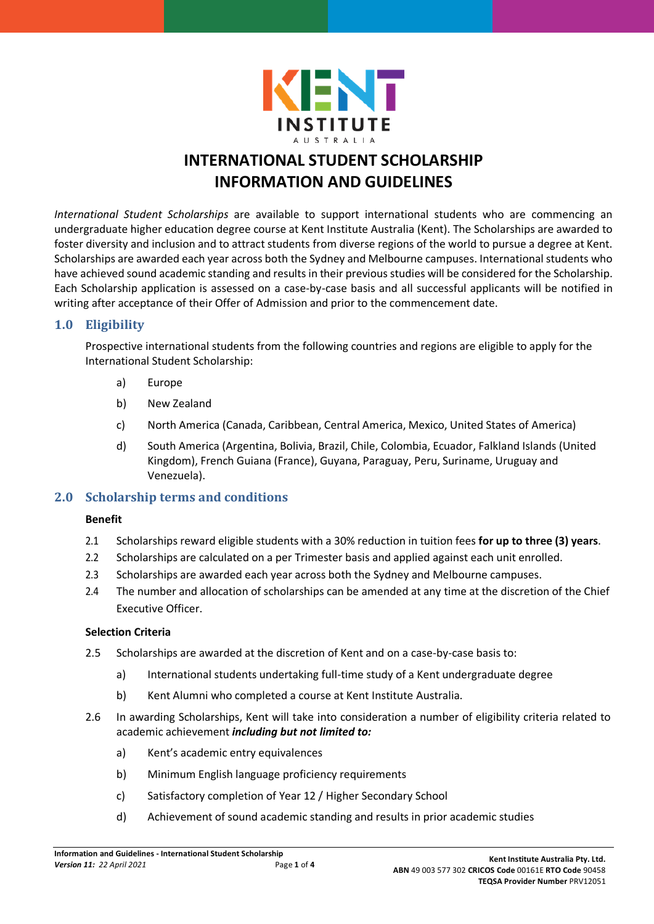

# **INTERNATIONAL STUDENT SCHOLARSHIP INFORMATION AND GUIDELINES**

*International Student Scholarships* are available to support international students who are commencing an undergraduate higher education degree course at Kent Institute Australia (Kent). The Scholarships are awarded to foster diversity and inclusion and to attract students from diverse regions of the world to pursue a degree at Kent. Scholarships are awarded each year across both the Sydney and Melbourne campuses. International students who have achieved sound academic standing and results in their previous studies will be considered for the Scholarship. Each Scholarship application is assessed on a case-by-case basis and all successful applicants will be notified in writing after acceptance of their Offer of Admission and prior to the commencement date.

# **1.0 Eligibility**

Prospective international students from the following countries and regions are eligible to apply for the International Student Scholarship:

- a) Europe
- b) New Zealand
- c) North America (Canada, Caribbean, Central America, Mexico, United States of America)
- d) South America (Argentina, Bolivia, Brazil, Chile, Colombia, Ecuador, Falkland Islands (United Kingdom), French Guiana (France), Guyana, Paraguay, Peru, Suriname, Uruguay and Venezuela).

## **2.0 Scholarship terms and conditions**

## **Benefit**

- 2.1 Scholarships reward eligible students with a 30% reduction in tuition fees **for up to three (3) years**.
- 2.2 Scholarships are calculated on a per Trimester basis and applied against each unit enrolled.
- 2.3 Scholarships are awarded each year across both the Sydney and Melbourne campuses.
- 2.4 The number and allocation of scholarships can be amended at any time at the discretion of the Chief Executive Officer.

### **Selection Criteria**

- 2.5 Scholarships are awarded at the discretion of Kent and on a case-by-case basis to:
	- a) International students undertaking full-time study of a Kent undergraduate degree
	- b) Kent Alumni who completed a course at Kent Institute Australia.
- 2.6 In awarding Scholarships, Kent will take into consideration a number of eligibility criteria related to academic achievement *including but not limited to:*
	- a) Kent's academic entry equivalences
	- b) Minimum English language proficiency requirements
	- c) Satisfactory completion of Year 12 / Higher Secondary School
	- d) Achievement of sound academic standing and results in prior academic studies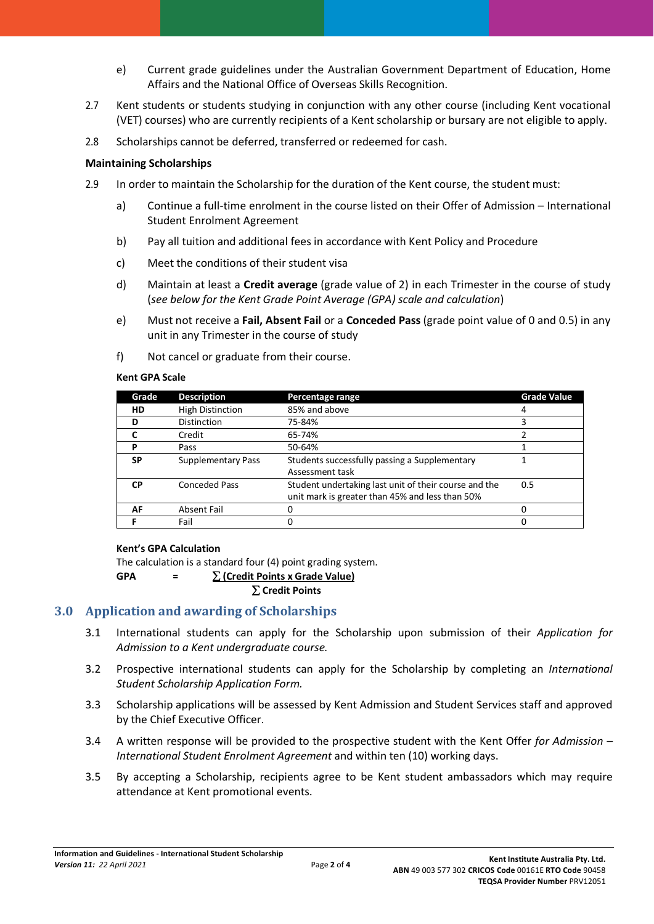- e) Current grade guidelines under the Australian Government Department of Education, Home Affairs and the National Office of Overseas Skills Recognition.
- 2.7 Kent students or students studying in conjunction with any other course (including Kent vocational (VET) courses) who are currently recipients of a Kent scholarship or bursary are not eligible to apply.
- 2.8 Scholarships cannot be deferred, transferred or redeemed for cash.

#### **Maintaining Scholarships**

- 2.9 In order to maintain the Scholarship for the duration of the Kent course, the student must:
	- a) Continue a full-time enrolment in the course listed on their Offer of Admission International Student Enrolment Agreement
	- b) Pay all tuition and additional fees in accordance with Kent Policy and Procedure
	- c) Meet the conditions of their student visa
	- d) Maintain at least a **Credit average** (grade value of 2) in each Trimester in the course of study (*see below for the Kent Grade Point Average (GPA) scale and calculation*)
	- e) Must not receive a **Fail, Absent Fail** or a **Conceded Pass** (grade point value of 0 and 0.5) in any unit in any Trimester in the course of study
	- f) Not cancel or graduate from their course.

#### **Kent GPA Scale**

| Grade     | <b>Description</b>      | Percentage range                                      | <b>Grade Value</b> |
|-----------|-------------------------|-------------------------------------------------------|--------------------|
| HD        | <b>High Distinction</b> | 85% and above                                         |                    |
| D         | <b>Distinction</b>      | 75-84%                                                |                    |
|           | Credit                  | 65-74%                                                |                    |
| P         | Pass                    | 50-64%                                                |                    |
| <b>SP</b> | Supplementary Pass      | Students successfully passing a Supplementary         |                    |
|           |                         | Assessment task                                       |                    |
| <b>CP</b> | <b>Conceded Pass</b>    | Student undertaking last unit of their course and the | 0.5                |
|           |                         | unit mark is greater than 45% and less than 50%       |                    |
| AF        | <b>Absent Fail</b>      |                                                       |                    |
|           | Fail                    |                                                       |                    |

#### **Kent's GPA Calculation**

The calculation is a standard four (4) point grading system.

**GPA =** ∑ **(Credit Points x Grade Value)**

∑ **Credit Points**

# **3.0 Application and awarding of Scholarships**

- 3.1 International students can apply for the Scholarship upon submission of their *Application for Admission to a Kent undergraduate course.*
- 3.2 Prospective international students can apply for the Scholarship by completing an *International Student Scholarship Application Form.*
- 3.3 Scholarship applications will be assessed by Kent Admission and Student Services staff and approved by the Chief Executive Officer.
- 3.4 A written response will be provided to the prospective student with the Kent Offer *for Admission – International Student Enrolment Agreement* and within ten (10) working days.
- 3.5 By accepting a Scholarship, recipients agree to be Kent student ambassadors which may require attendance at Kent promotional events.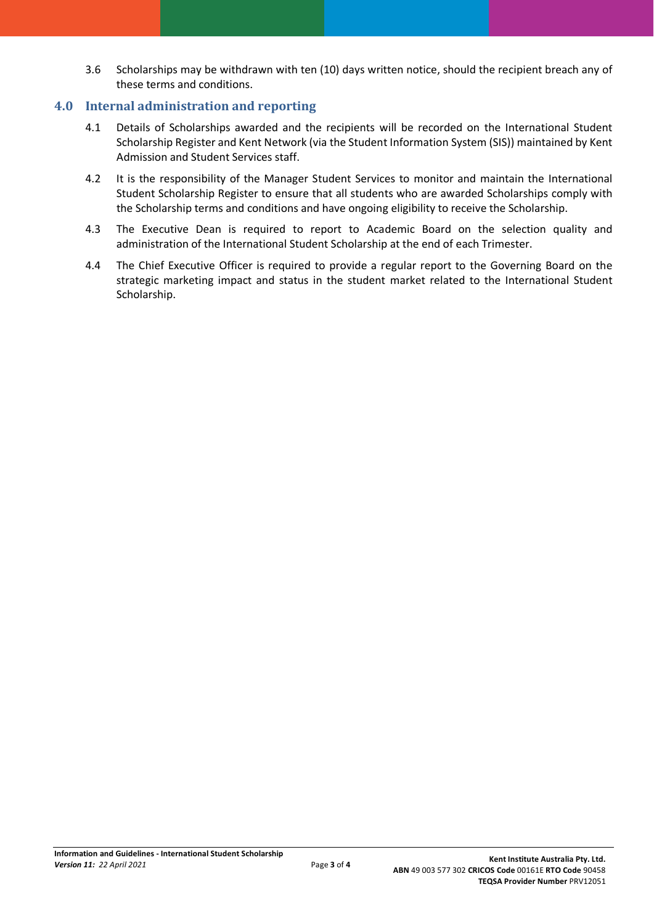3.6 Scholarships may be withdrawn with ten (10) days written notice, should the recipient breach any of these terms and conditions.

# **4.0 Internal administration and reporting**

- 4.1 Details of Scholarships awarded and the recipients will be recorded on the International Student Scholarship Register and Kent Network (via the Student Information System (SIS)) maintained by Kent Admission and Student Services staff.
- 4.2 It is the responsibility of the Manager Student Services to monitor and maintain the International Student Scholarship Register to ensure that all students who are awarded Scholarships comply with the Scholarship terms and conditions and have ongoing eligibility to receive the Scholarship.
- 4.3 The Executive Dean is required to report to Academic Board on the selection quality and administration of the International Student Scholarship at the end of each Trimester.
- 4.4 The Chief Executive Officer is required to provide a regular report to the Governing Board on the strategic marketing impact and status in the student market related to the International Student Scholarship.